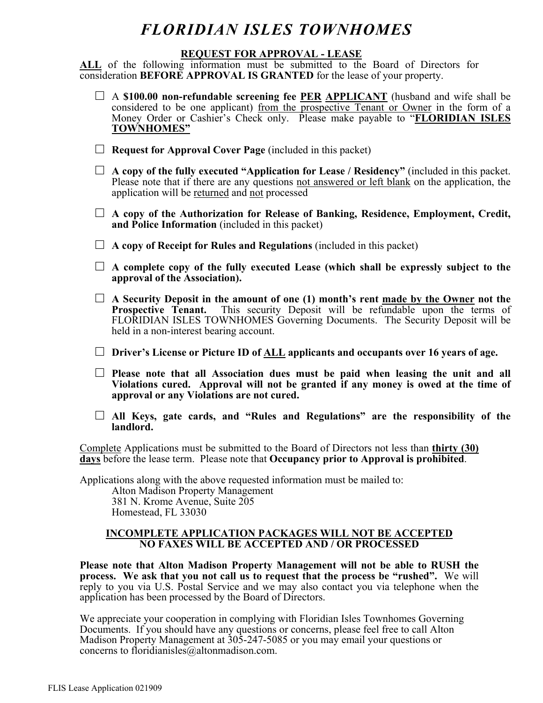#### **REQUEST FOR APPROVAL - LEASE**

ALL of the following information must be submitted to the Board of Directors for consideration **BEFORE APPROVAL IS GRANTED** for the lease of your property.

- □ A \$100.00 non-refundable screening fee **PER APPLICANT** (husband and wife shall be considered to be one applicant) from the prospective Tenant or Owner in the form of a Money Order or Cashier's Check only. Please make payable to "**FLORIDIAN ISLES TOWNHOMES"**
- □ **Request for Approval Cover Page** (included in this packet)
- $\Box$  **A copy of the fully executed "Application for Lease / Residency"** (included in this packet. Please note that if there are any questions not answered or left blank on the application, the application will be returned and not processed
- □ A copy of the Authorization for Release of Banking, Residence, Employment, Credit, **and Police Information** (included in this packet)
- □ **A copy of Receipt for Rules and Regulations** (included in this packet)
- □ **A complete copy of the fully executed Lease (which shall be expressly subject to the approval of the Association).**
- □ **A Security Deposit in the amount of one (1) month's rent made by the Owner not the Prospective Tenant.** This security Deposit will be refundable upon the terms of FLORIDIAN ISLES TOWNHOMES Governing Documents. The Security Deposit will be held in a non-interest bearing account.
- □ **Driver's License or Picture ID of ALL applicants and occupants over 16 years of age.**
- □ **Please note that all Association dues must be paid when leasing the unit and all Violations cured. Approval will not be granted if any money is owed at the time of approval or any Violations are not cured.**
- □ **All Keys, gate cards, and "Rules and Regulations" are the responsibility of the landlord.**

Complete Applications must be submitted to the Board of Directors not less than **thirty (30) days** before the lease term. Please note that **Occupancy prior to Approval is prohibited**.

Applications along with the above requested information must be mailed to:

Alton Madison Property Management 381 N. Krome Avenue, Suite 205 Homestead, FL 33030

#### **INCOMPLETE APPLICATION PACKAGES WILL NOT BE ACCEPTED NO FAXES WILL BE ACCEPTED AND / OR PROCESSED**

**Please note that Alton Madison Property Management will not be able to RUSH the process. We ask that you not call us to request that the process be "rushed".** We will reply to you via U.S. Postal Service and we may also contact you via telephone when the application has been processed by the Board of Directors.

We appreciate your cooperation in complying with Floridian Isles Townhomes Governing Documents. If you should have any questions or concerns, please feel free to call Alton Madison Property Management at 305-247-5085 or you may email your questions or concerns to floridianisles@altonmadison.com.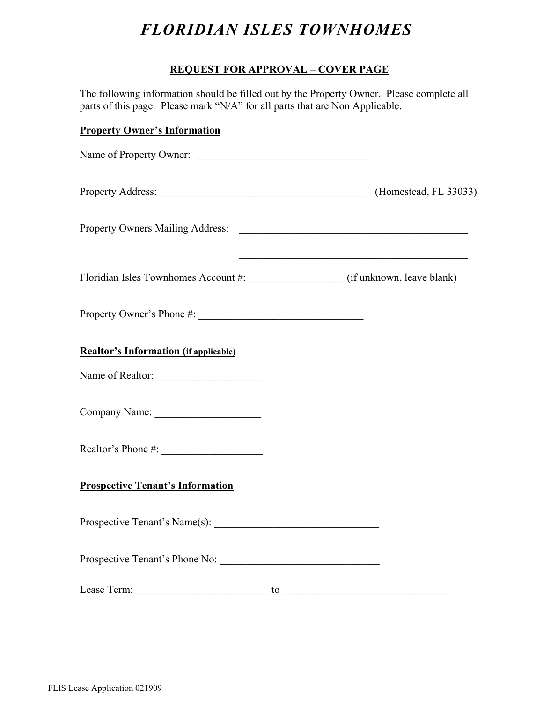### **REQUEST FOR APPROVAL – COVER PAGE**

The following information should be filled out by the Property Owner. Please complete all parts of this page. Please mark "N/A" for all parts that are Non Applicable.

### **Property Owner's Information**

| Name of Property Owner:                      |                                                             |
|----------------------------------------------|-------------------------------------------------------------|
| Property Address: (Homestead, FL 33033)      |                                                             |
|                                              |                                                             |
|                                              | <u> 1989 - Johann Stoff, amerikansk politiker (d. 1989)</u> |
|                                              |                                                             |
| <b>Realtor's Information (if applicable)</b> |                                                             |
| Name of Realtor:                             |                                                             |
|                                              |                                                             |
|                                              |                                                             |
| <b>Prospective Tenant's Information</b>      |                                                             |
|                                              |                                                             |
| Prospective Tenant's Phone No:               |                                                             |
|                                              | $\frac{10}{2}$                                              |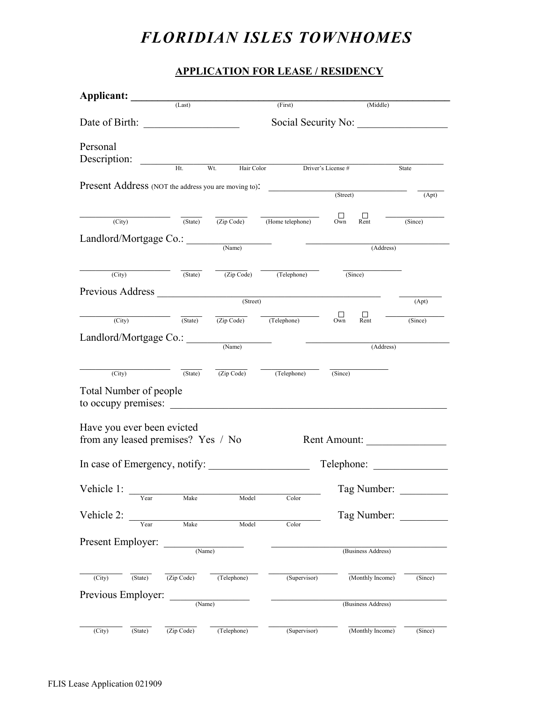### **APPLICATION FOR LEASE / RESIDENCY**

| Applicant: (Last)                                    |                    |                     | (First)                                                                                                                | (Middle)                                                                                                                          |         |
|------------------------------------------------------|--------------------|---------------------|------------------------------------------------------------------------------------------------------------------------|-----------------------------------------------------------------------------------------------------------------------------------|---------|
|                                                      |                    |                     |                                                                                                                        |                                                                                                                                   |         |
|                                                      |                    | Social Security No: |                                                                                                                        |                                                                                                                                   |         |
| Personal                                             |                    |                     |                                                                                                                        |                                                                                                                                   |         |
| Description:                                         |                    |                     |                                                                                                                        |                                                                                                                                   |         |
|                                                      | Ht                 | Wt.<br>Hair Color   |                                                                                                                        | Driver's License #                                                                                                                | State   |
| Present Address (NOT the address you are moving to): |                    |                     |                                                                                                                        | (Street)                                                                                                                          |         |
|                                                      |                    |                     |                                                                                                                        |                                                                                                                                   | (Apt)   |
| (City)                                               | $(\text{State})$   |                     | $\overline{(Zip Code)}$ (Home telephone)                                                                               | $\Box$<br>Own<br>$\Box$<br>Rent                                                                                                   | (Since) |
|                                                      |                    |                     |                                                                                                                        |                                                                                                                                   |         |
| Landlord/Mortgage Co.:                               |                    | (Name)              |                                                                                                                        | <u> Alexandria de la contenta de la contenta de la contenta de la contenta de la contenta de la contenta de la c</u><br>(Address) |         |
|                                                      |                    |                     |                                                                                                                        |                                                                                                                                   |         |
| (City)                                               |                    |                     | (State) (Zip Code) (Telephone)                                                                                         | (Since)                                                                                                                           |         |
|                                                      |                    |                     |                                                                                                                        |                                                                                                                                   |         |
| Previous Address (Street)                            |                    |                     |                                                                                                                        |                                                                                                                                   | (Apt)   |
|                                                      |                    |                     | (City) (State) (Zip Code) (Telephone)                                                                                  | $\Box$<br>$\prod_{\text{Rent}}$                                                                                                   | (Since) |
|                                                      |                    |                     |                                                                                                                        |                                                                                                                                   |         |
| Landlord/Mortgage Co.:                               |                    | (Name)              |                                                                                                                        | (Address)                                                                                                                         |         |
|                                                      |                    |                     |                                                                                                                        |                                                                                                                                   |         |
| (City)                                               |                    |                     | $\overline{\text{(State)}}$ $\overline{\text{(Zip Code)}}$ $\overline{\text{(Telephone)}}$ $\overline{\text{(Since)}}$ |                                                                                                                                   |         |
| <b>Total Number of people</b>                        |                    |                     |                                                                                                                        |                                                                                                                                   |         |
| to occupy premises:                                  |                    |                     |                                                                                                                        |                                                                                                                                   |         |
|                                                      |                    |                     |                                                                                                                        |                                                                                                                                   |         |
| Have you ever been evicted                           |                    |                     |                                                                                                                        |                                                                                                                                   |         |
| from any leased premises? Yes / No                   |                    |                     |                                                                                                                        | Rent Amount:                                                                                                                      |         |
| In case of Emergency, notify:                        |                    |                     |                                                                                                                        | Telephone:                                                                                                                        |         |
|                                                      |                    |                     |                                                                                                                        |                                                                                                                                   |         |
| Vehicle 1:                                           |                    |                     |                                                                                                                        | Tag Number:                                                                                                                       |         |
| Year                                                 | Make               | Model               | Color                                                                                                                  |                                                                                                                                   |         |
| Vehicle 2:                                           |                    |                     |                                                                                                                        | Tag Number:                                                                                                                       |         |
|                                                      | Make               | Model               | Color                                                                                                                  |                                                                                                                                   |         |
| Present Employer:                                    |                    |                     |                                                                                                                        |                                                                                                                                   |         |
|                                                      | $\frac{1}{(Name)}$ |                     |                                                                                                                        | (Business Address)                                                                                                                |         |
| (City)<br>(State)                                    | (Zip Code)         | (Telephone)         | (Supervisor)                                                                                                           | (Monthly Income)                                                                                                                  | (Since) |
|                                                      |                    |                     |                                                                                                                        |                                                                                                                                   |         |
| Previous Employer:                                   | (Name)             |                     |                                                                                                                        | (Business Address)                                                                                                                |         |
|                                                      |                    |                     |                                                                                                                        |                                                                                                                                   |         |
| (City)<br>(State)                                    | (Zip Code)         | (Telephone)         | (Supervisor)                                                                                                           | (Monthly Income)                                                                                                                  | (Since) |
|                                                      |                    |                     |                                                                                                                        |                                                                                                                                   |         |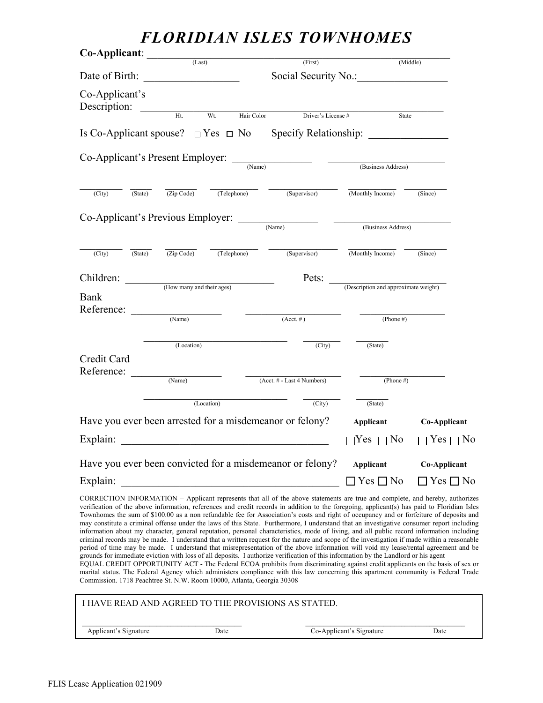| Co-Applicant:                                                                       |                                                                  |             |                                                                                                                                                                                                                                                                             |                                      |                      |
|-------------------------------------------------------------------------------------|------------------------------------------------------------------|-------------|-----------------------------------------------------------------------------------------------------------------------------------------------------------------------------------------------------------------------------------------------------------------------------|--------------------------------------|----------------------|
|                                                                                     | (Last)                                                           |             | (First)                                                                                                                                                                                                                                                                     |                                      | (Middle)             |
| Date of Birth:                                                                      | <u> 1990 - Johann Barbara, martin a</u>                          |             | Social Security No.:                                                                                                                                                                                                                                                        |                                      |                      |
| Co-Applicant's<br>Description:                                                      | $Ht$ .                                                           | Wt.         |                                                                                                                                                                                                                                                                             |                                      |                      |
|                                                                                     |                                                                  | Hair Color  | Driver's License#                                                                                                                                                                                                                                                           | State                                |                      |
| Is Co-Applicant spouse? $\Box$ Yes $\Box$ No                                        |                                                                  |             |                                                                                                                                                                                                                                                                             |                                      |                      |
|                                                                                     |                                                                  |             | $Co-Applicant's Present Employee:$ $\frac{(\text{Name})}{(\text{Name})}$                                                                                                                                                                                                    |                                      |                      |
|                                                                                     |                                                                  |             |                                                                                                                                                                                                                                                                             | (Business Address)                   |                      |
| (State)<br>(City)                                                                   | (Zip Code)                                                       | (Telephone) | (Supervisor)                                                                                                                                                                                                                                                                | (Monthly Income)                     | (Since)              |
| Co-Applicant's Previous Employer: <u>COMANDON CO-Applicant's Previous Employer:</u> |                                                                  |             |                                                                                                                                                                                                                                                                             |                                      |                      |
|                                                                                     |                                                                  |             |                                                                                                                                                                                                                                                                             | (Business Address)                   |                      |
| $\overline{(City)}$<br>$\overline{\text{(State)}}$                                  | $\overline{(Zip Code)}$                                          | (Telephone) | (Supervisor)                                                                                                                                                                                                                                                                | (Monthly Income)                     | (Since)              |
| Children:                                                                           |                                                                  |             | Pets:                                                                                                                                                                                                                                                                       |                                      |                      |
| Bank<br>Reference:                                                                  | (How many and their ages)                                        |             |                                                                                                                                                                                                                                                                             | (Description and approximate weight) |                      |
|                                                                                     | (Name)                                                           |             | $(Acct. \#)$                                                                                                                                                                                                                                                                | (Phone #)                            |                      |
|                                                                                     | (Location)                                                       |             | (City)                                                                                                                                                                                                                                                                      | (State)                              |                      |
| Credit Card<br>Reference:                                                           |                                                                  |             |                                                                                                                                                                                                                                                                             |                                      |                      |
|                                                                                     | (Name)                                                           |             | (Acct. # - Last 4 Numbers)                                                                                                                                                                                                                                                  | (Phone $#$ )                         |                      |
|                                                                                     |                                                                  | (Location)  | $\overline{(City)}$                                                                                                                                                                                                                                                         | (State)                              |                      |
|                                                                                     |                                                                  |             | Have you ever been arrested for a misdemeanor or felony?                                                                                                                                                                                                                    | <b>Applicant</b>                     | Co-Applicant         |
| Explain:                                                                            | <u> 1980 - Jan James James Barnett, fransk politik (d. 1980)</u> |             |                                                                                                                                                                                                                                                                             | $\Box$ Yes $\Box$ No                 | $\Box$ Yes $\Box$ No |
|                                                                                     |                                                                  |             | Have you ever been convicted for a misdemeanor or felony?                                                                                                                                                                                                                   | Applicant                            | Co-Applicant         |
| Explain:                                                                            |                                                                  |             |                                                                                                                                                                                                                                                                             | $\Box$ Yes $\Box$ No                 | $\Box$ Yes $\Box$ No |
|                                                                                     |                                                                  |             | CORRECTION INFORMATION – Applicant represents that all of the above statements are true and complete, and hereby, authorizes<br>verification of the above information, references and credit records in addition to the foregoing, applicant(s) has paid to Floridian Isles |                                      |                      |

verification of the above information, references and credit records in addition to the foregoing, applicant(s) has paid to Floridian Isles Townhomes the sum of \$100.00 as a non refundable fee for Association's costs and right of occupancy and or forfeiture of deposits and may constitute a criminal offense under the laws of this State. Furthermore, I understand that an investigative consumer report including information about my character, general reputation, personal characteristics, mode of living, and all public record information including criminal records may be made. I understand that a written request for the nature and scope of the investigation if made within a reasonable period of time may be made. I understand that misrepresentation of the above information will void my lease/rental agreement and be grounds for immediate eviction with loss of all deposits. I authorize verification of this information by the Landlord or his agent

EQUAL CREDIT OPPORTUNITY ACT - The Federal ECOA prohibits from discriminating against credit applicants on the basis of sex or marital status. The Federal Agency which administers compliance with this law concerning this apartment community is Federal Trade Commission. 1718 Peachtree St. N.W. Room 10000, Atlanta, Georgia 30308

| I HAVE READ AND AGREED TO THE PROVISIONS AS STATED. |      |                          |      |
|-----------------------------------------------------|------|--------------------------|------|
| Applicant's Signature                               | Date | Co-Applicant's Signature | Date |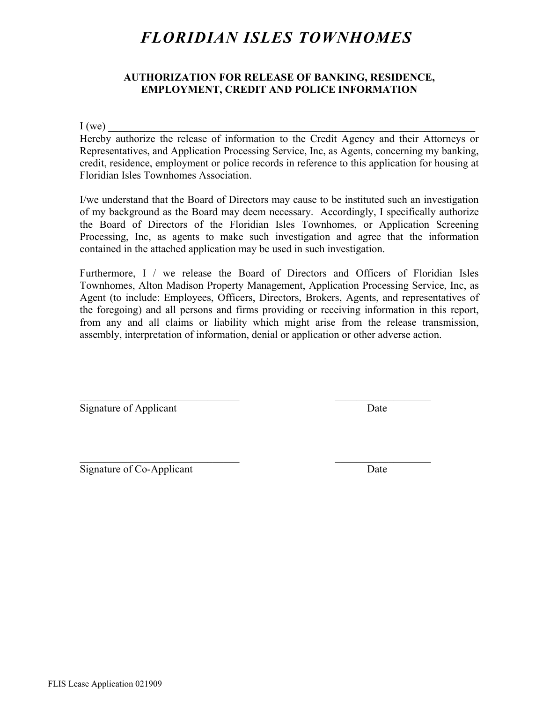#### **AUTHORIZATION FOR RELEASE OF BANKING, RESIDENCE, EMPLOYMENT, CREDIT AND POLICE INFORMATION**

 $I(we)$ 

Hereby authorize the release of information to the Credit Agency and their Attorneys or Representatives, and Application Processing Service, Inc, as Agents, concerning my banking, credit, residence, employment or police records in reference to this application for housing at Floridian Isles Townhomes Association.

I/we understand that the Board of Directors may cause to be instituted such an investigation of my background as the Board may deem necessary. Accordingly, I specifically authorize the Board of Directors of the Floridian Isles Townhomes, or Application Screening Processing, Inc, as agents to make such investigation and agree that the information contained in the attached application may be used in such investigation.

Furthermore, I / we release the Board of Directors and Officers of Floridian Isles Townhomes, Alton Madison Property Management, Application Processing Service, Inc, as Agent (to include: Employees, Officers, Directors, Brokers, Agents, and representatives of the foregoing) and all persons and firms providing or receiving information in this report, from any and all claims or liability which might arise from the release transmission, assembly, interpretation of information, denial or application or other adverse action.

 $\mathcal{L}_\text{max}$  and the contract of the contract of the contract of the contract of the contract of the contract of the contract of the contract of the contract of the contract of the contract of the contract of the contrac

 $\mathcal{L}_\text{max}$  and the contract of the contract of the contract of the contract of the contract of the contract of the contract of the contract of the contract of the contract of the contract of the contract of the contrac

Signature of Applicant Date

Signature of Co-Applicant Date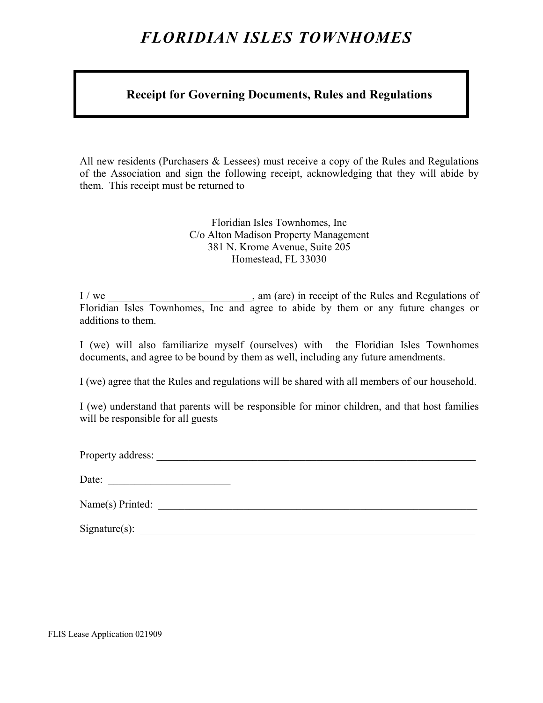### **Receipt for Governing Documents, Rules and Regulations**

All new residents (Purchasers & Lessees) must receive a copy of the Rules and Regulations of the Association and sign the following receipt, acknowledging that they will abide by them. This receipt must be returned to

> Floridian Isles Townhomes, Inc C/o Alton Madison Property Management 381 N. Krome Avenue, Suite 205 Homestead, FL 33030

I / we \_\_\_\_\_\_\_\_\_\_\_\_\_\_\_\_\_\_\_\_\_\_\_\_\_\_, am (are) in receipt of the Rules and Regulations of Floridian Isles Townhomes, Inc and agree to abide by them or any future changes or additions to them.

I (we) will also familiarize myself (ourselves) with the Floridian Isles Townhomes documents, and agree to be bound by them as well, including any future amendments.

I (we) agree that the Rules and regulations will be shared with all members of our household.

I (we) understand that parents will be responsible for minor children, and that host families will be responsible for all guests

Property address:

| Date: |  |
|-------|--|
|-------|--|

| Name(s) Printed: |  |
|------------------|--|
|                  |  |

| $Signature(s)$ : |  |
|------------------|--|
|                  |  |

FLIS Lease Application 021909